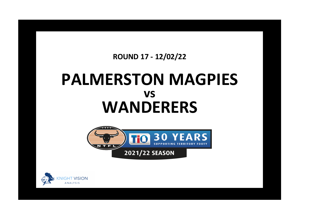## **ROUND 17 - 12/02/22**

## **PALMERSTON MAGPIES WANDERERS vs**



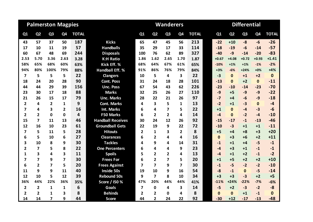| <b>Palmerston Magpies</b> |                         |                         |                |              |                          |                         |                         | <b>Wanderers</b>        |                |              | <b>Differential</b> |                |                |                |              |  |  |
|---------------------------|-------------------------|-------------------------|----------------|--------------|--------------------------|-------------------------|-------------------------|-------------------------|----------------|--------------|---------------------|----------------|----------------|----------------|--------------|--|--|
| Q <sub>1</sub>            | Q <sub>2</sub>          | Q <sub>3</sub>          | Q <sub>4</sub> | <b>TOTAL</b> |                          | Q1                      | Q <sub>2</sub>          | Q <sub>3</sub>          | Q <sub>4</sub> | <b>TOTAL</b> | Q1                  | Q <sub>2</sub> | Q <sub>3</sub> | Q <sub>4</sub> | <b>TOTAL</b> |  |  |
| 43                        | 57                      | 37                      | 50             | 187          | <b>Kicks</b>             | 65                      | 47                      | 45                      | 56             | 213          | $-22$               | $+10$          | $-8$           | $-6$           | $-26$        |  |  |
| 17                        | 10                      | 11                      | 19             | 57           | <b>Handballs</b>         | 35                      | 29                      | 17                      | 33             | 114          | $-18$               | $-19$          | $-6$           | $-14$          | $-57$        |  |  |
| 60                        | 67                      | 48                      | 69             | 244          | <b>Disposals</b>         | 100                     | 76                      | 62                      | 89             | 327          | $-40$               | $-9$           | $-14$          | $-20$          | $-83$        |  |  |
| 2.53                      | 5.70                    | 3.36                    | 2.63           | 3.28         | <b>K:H Ratio</b>         | 1.86                    | 1.62                    | 2.65                    | 1.70           | 1.87         | $+0.67$             | $+4.08$        | $+0.72$        | $+0.93$        | $+1.41$      |  |  |
| 58%                       | 65%                     | 68%                     | 60%            | 63%          | Kick Eff. %              | 68%                     | 64%                     | 67%                     | 61%            | 65%          | $-10%$              | $+1%$          | $+1\%$         | $-1%$          | $-2%$        |  |  |
| 94%                       | 80%                     | 100%                    | 79%            | 88%          | <b>Handball Eff. %</b>   | 91%                     | 86%                     | 76%                     | 79%            | 84%          | $+3%$               | $-6%$          | $+24%$         | $+0%$          | $+4%$        |  |  |
| 7                         | 5                       | 5                       | 5              | 22           | <b>Clangers</b>          | 10                      | 5                       | 4                       | 3              | 22           | $-3$                | $\mathbf{0}$   | $+1$           | $+2$           | $\mathbf 0$  |  |  |
| 18                        | 24                      | 20                      | 28             | 90           | <b>Cont. Poss</b>        | 31                      | 24                      | 18                      | 28             | 101          | $-13$               | $\Omega$       | $+2$           | $\mathbf{0}$   | $-11$        |  |  |
| 44                        | 44                      | 29                      | 39             | 156          | <b>Unc. Poss</b>         | 67                      | 54                      | 43                      | 62             | 226          | $-23$               | $-10$          | $-14$          | $-23$          | $-70$        |  |  |
| 23                        | 30                      | 17                      | 18             | 88           | <b>Marks</b>             | 32                      | 25                      | 26                      | 27             | 110          | $-9$                | $+5$           | $-9$           | $-9$           | $-22$        |  |  |
| 21                        | 26                      | 15                      | 17             | 79           | <b>Unc. Marks</b>        | 28                      | 22                      | 21                      | 26             | 97           | $-7$                | $+4$           | $-6$           | $-9$           | $-18$        |  |  |
| $\overline{2}$            | 4                       | $\mathbf{2}$            | 1              | 9            | <b>Cont. Marks</b>       | 4                       | 3                       | 5                       | 1              | 13           | $-2$                | $+1$           | $-3$           | $\mathbf{0}$   | $-4$         |  |  |
| $\overline{\mathbf{z}}$   | 4                       | 3                       | $\overline{2}$ | 16           | <b>Int. Marks</b>        | 6                       | 4                       | $\overline{\mathbf{z}}$ | 5              | 22           | $+1$                | $\Omega$       | $-4$           | $-3$           | $-6$         |  |  |
| $\overline{2}$            | $\overline{2}$          | 0                       | $\mathbf 0$    | 4            | <b>F50 Marks</b>         | 6                       | $\overline{2}$          | $\overline{2}$          | 4              | 14           | $-4$                | $\mathbf{0}$   | $-2$           | $-4$           | $-10$        |  |  |
| 15                        | $\overline{7}$          | 11                      | 13             | 46           | <b>Handball Receives</b> | 30                      | 24                      | 12                      | 26             | 92           | $-15$               | $-17$          | $-1$           | $-13$          | $-46$        |  |  |
| 12                        | 16                      | 10                      | 23             | 61           | <b>Groundball Gets</b>   | 22                      | 19                      | 9                       | 22             | 72           | $-10$               | $-3$           | $+1$           | $+1$           | $-11$        |  |  |
| 7                         | 5                       | 11                      | 5              | 28           | <b>Hitouts</b>           | $\overline{2}$          | $\mathbf{1}$            | 3                       | $\mathbf{2}$   | 8            | $+5$                | +4             | $+8$           | $+3$           | $+20$        |  |  |
| 6                         | 5                       | 10                      | 6              | 27           | <b>Clearances</b>        | 6                       | $\overline{2}$          | 4                       | 4              | 16           | $\mathbf{0}$        | $+3$           | $+6$           | $+2$           | $+11$        |  |  |
| 3                         | 10                      | 8                       | 9              | 30           | <b>Tackles</b>           | 4                       | 9                       | 4                       | 14             | 31           | $-1$                | $+1$           | $+4$           | $-5$           | $-1$         |  |  |
| $\overline{2}$            | $\overline{\mathbf{z}}$ | 5                       | 8              | 22           | <b>One Percenters</b>    | 6                       | 4                       | 4                       | 9              | 23           | $-4$                | $+3$           | $+1$           | $-1$           | $-1$         |  |  |
| $\mathbf{1}$              | 3                       | 4                       | 3              | 11           | <b>Spoils</b>            | 5                       | $\overline{2}$          | $\overline{2}$          | 4              | 13           | $-4$                | $+1$           | $+2$           | $-1$           | $-2$         |  |  |
| $\overline{7}$            | $\overline{7}$          | 9                       | $\overline{7}$ | 30           | <b>Frees For</b>         | 6                       | $\overline{2}$          | 7                       | 5.             | 20           | $+1$                | $+5$           | $+2$           | $+2$           | $+10$        |  |  |
| 6                         | $\overline{2}$          | $\overline{\mathbf{z}}$ | 5              | 20           | <b>Frees Against</b>     | 7                       | $\overline{\mathbf{z}}$ | 9                       | 7              | 30           | $-1$                | $-5$           | $-2$           | $-2$           | $-10$        |  |  |
| 11                        | 9                       | 9                       | 11             | 40           | <b>Inside 50s</b>        | 19                      | 10                      | 9                       | 16             | 54           | $-8$                | $-1$           | $\mathbf{0}$   | $-5$           | $-14$        |  |  |
| 12                        | 10                      | 5                       | 12             | 39           | <b>Rebound 50s</b>       | 9                       | $\overline{\mathbf{z}}$ | 8                       | 10             | 34           | $+3$                | $+3$           | $-3$           | $+2$           | $+5$         |  |  |
| 36%                       | 44%                     | 22%                     | 36%            | 35%          | Score / I50 %            | 47%                     | 20%                     | 44%                     | 44%            | 41%          | $-11%$              | $+24%$         | $-22%$         | $-7%$          | $-6%$        |  |  |
| $\overline{2}$            | $\overline{2}$          | $\mathbf{1}$            | 1              | 6            | <b>Goals</b>             | $\overline{\mathbf{z}}$ | $\mathbf{0}$            | 4                       | 3              | 14           | $-5$                | $+2$           | $-3$           | $-2$           | $-8$         |  |  |
| $\mathbf{2}$              | $\overline{2}$          | 1                       | 3              | 8            | <b>Behinds</b>           | 2                       | $\mathbf{2}$            | 0                       | 4              | 8            | $\bf{0}$            | $\Omega$       | $+1$           | $-1$           | $\mathbf{0}$ |  |  |
| 14                        | 14                      | $\overline{\mathbf{z}}$ | 9              | 44           | <b>Score</b>             | 44                      | $\overline{2}$          | 24                      | 22             | 92           | $-30$               | $+12$          | $-17$          | $-13$          | $-48$        |  |  |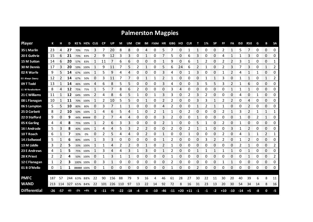| <b>Palmerston Magpies</b> |     |         |     |            |           |              |           |         |     |            |           |    |            |     |        |               |            |      |      |           |       |       |       |              |    |              |           |
|---------------------------|-----|---------|-----|------------|-----------|--------------|-----------|---------|-----|------------|-----------|----|------------|-----|--------|---------------|------------|------|------|-----------|-------|-------|-------|--------------|----|--------------|-----------|
| <b>Player</b>             | К   |         | D   |            | KE % HE%  | <b>CLG</b>   | <b>CP</b> | UP      | М   | UM         | <b>CM</b> |    | IM F50M HR |     | GBG HO |               | <b>CLR</b> |      | 1%   | <b>SP</b> | FF    | FA    | 150   | <b>R50</b>   | G  | в            | <b>SA</b> |
| 35 L Marlin               | 23  | 4       | 27  | 70%        | 75%       | 3            |           | 20      | 8   | 8          | 0         | 4  | 0          | 5   |        | 0             | 1          | 1    | 0    | 0         | 2     | 1     | 5     | 7            | 0  | 0            | 0         |
| 20 E Guthrie              | 15  | 6       | 21  | 73%        | 83%       | 2            | 9         | 12      | 3   | 3          | 0         | 1  | 0          | 7   | 5      | 0             | 6          | 3    | 0    | 0         | 4     | 1     | 1     | 3            | 0  | 0            | 0         |
| 15 M Sutton               | 14  | 6       | 20  | 57%        | 83%       | 1            | 11        |         | 6   | 6          | 0         | 0  | 0          | 1   | 9      | 0             | 6          | 1    |      | 0         | 2     | 2     | 3     | 1            | 0  | 0            | 1         |
| <b>30 M Dennis</b>        | 17  | 3       | 20  | 59%        | 100%      | 1            | 9         | 11      | 7   | 5          | 2         | 1  | 0          | 5   | 6      | 24            | 6          | 2    | 1    | 0         | 2     | 3     |       | 3            | 0  | $\mathbf{1}$ | 2         |
| 02 R Warfe                | 9   | 5       | 14  |            | 67% 100%  | 1            | 5         | 9       | 4   | Δ          | 0         | 0  | 0          | 3   | 4      | 0             | 1          | 3    | 0    | 0         |       | 2     | Δ     | 1            | 1  | 0            | 0         |
| 03 Alwyn Davey            | 12  | 2       | 14  | 67%        | 50%       | 0            | 3         | 11      | 7   | 7          | 0         | 1  | 1          | 2   | 1      | 0             | 0          | 0    | 1    | 1         | 3     | 0     | 1     | 1            | 0  | $\mathbf{1}$ | 2         |
| 09 T Todd                 | 13  |         | 14  | 46%        | 100%      | 4            | 6         | 8       | 5   | 5          | 0         | 0  | 0          | 3   | 4      | 0             | 0          | 3    | 5    | 5         |       | 2     | 1     | 6            | 0  | 0            | 0         |
| 11 W Rowbottom            | 8   | 4       | 12  | 75%        | 75%       | 1            | 5         | 7       | 8   | 6          | 2         | 0  | 0          | 0   | 3      | 4             | 0          | 0    | 0    | 0         | 0     | 1     | 1     | 1            | 0  | 0            | 0         |
| 21 C Williams             | 11  |         | 12  |            | 64% 100%  | 2            | 4         | 8       | 6   | 5          | 1         | 0  | 1          | 3   | 3      | 0             | 2          | 3    |      | 0         | 0     | 0     | 4     | 0            | 1  | 0            | 0         |
| 08 L Flanagan             | 10  | 1       | 11  | 70%        | 100%      | $\mathbf{1}$ | 2         | 10      | 5   | 5          | 0         | 1  | 0          | 2   | 2      | 0             | 0          | 3    | 3    | 1         | 2     | 2     | 0     | 4            | 0  | 0            | 0         |
| 06 S Lampton              | 5   |         | 10  | 80%        | 80%       | 0            | 3         |         | 1   | 1          | 0         | 0  | 0          | 4   | 2      | 0             | 0          | 1    | 2    | 1         |       | 0     | 0     | 2            | 0  | 0            | 0         |
| 25 D Corbett              | 8   | 2       | 10  | 50%        | 100%      | 1            | 4         | 6       | 5   | 4          | 1         | 0  | 2          | 1   | 1      | 0             | 2          | 0    | 0    | 0         | 2     | 1     | 3     | 2            | 1  | $\mathbf{1}$ | 1         |
| 22 D Stafford             | 9   | 0       | 9   |            | 44% ##### | 0            | 2         |         | 4   | 4          | 0         | 0  | 0          | 3   | 2      | 0             | 0          | 1    | 0    | 0         | 0     | 0     | 1     | 0            | 2  | $\mathbf{1}$ | 0         |
| 05 K Garling              | 4   | 4       | 8   | 75%        | 100%      | -1           | 2         | 6       | 3   | 3          | 0         | 0  | 0          | 2   | 1      | 0             | 0          | 5    | 1    | 0         | 2     | 0     | 1     | 0            | 0  | 0            | 0         |
| 16   Andrade              | 5   | 3       | 8   | 40%        | 100%      |              | 4         | Δ       | 5   | 3          | 2         |    | 0          | 0   | 2      | 0             | 2          |      |      | ი         | ი     | 3     |       | 2            | 0  | 0            | 0         |
| 10 T Roach                | 6   |         |     | 33%        | 0%        | 0            | 2         | 5       | 4   | Δ          | ი         | 2  | 0          |     | ი      | 0             |            | 0    | O    | 0         | ำ     | 0     | Δ     |              |    | 2            | 1         |
| 14 J Sellwood             | 5   |         | 6   | 80%        | 100%      |              | 3         | З       | 0   | Ω          | ი         | 0  | 0          |     | 2      | 0             | 0          | 0    | 3    |           |       | 0     |       | 2            | 0  | 0            | 0         |
| 13 M Liddle               | 3   |         | 5   | 33%        | 100%      |              |           |         |     |            | ი         |    | 0          | 2   |        | 0             | 0          | 0    | 0    | 0         | Ω     | 0     | 2     |              | 0  | 0            | 2         |
| 23 E Andrews              | 4   |         | 5   | 75%        | 100%      |              | 3         |         | 4   | 3          |           | 3  | 0          | 1   | 2      | 0             | 0          | 1    |      |           |       | 1     | 0     | $\mathbf{1}$ | 0  | 0            | 0         |
| 28 K Priest               | 2   | 2       | 4   | 50%        | 100%      | 0            |           | 3       | 1   | 1          | 0         | 0  | 0          | 0   |        | 0             | 0          | 0    | 0    | 0         | 0     | 0     | 0     | 1            | 0  | 0            | 2<br>mmmm |
| 12 C Flanagan             | 1   |         | 3   |            | 100% 100% | 0            | 3         |         | 0   | 0          | 0         | 0  | 0          | 0   | 2      | 0             | 0          | 0    | 0    | 0         |       |       | 0     | 0            | 0  | 0            | 0         |
| 01 B D'Mello              | 0   |         | 1   | ##### 100% |           | 0            |           | 0       | 0   | 0          | 0         | 0  | 0          | 0   | 1      | 0             | 0          | 2    | 0    | 0         | 0     | 0     | 0     | 0            | 0  | 0            | 0         |
|                           |     |         |     |            |           |              |           |         |     |            |           |    |            |     |        |               |            |      |      |           |       |       |       |              |    |              |           |
| <b>PMFC</b>               | 187 | 57      | 244 | 63%        | 88%       | 22           | 90        | 156     | 88  | 79         | 9         | 16 | 4          | 46  | 61     | 28            | 27         | 30   | 22   | 11        | 30    | 20    | 40    | 39           | 6  | 8            | 11        |
| <b>WAND</b>               |     | 213 114 | 327 |            | 65% 84%   | 22           |           | 101 226 | 110 | 97         | 13        | 22 | 14         | 92  | 72     | 8             | 16         | 31   | 23   | 13        | 20    | 30    | 54    | 34           | 14 | 8            | 16        |
| <b>Differential</b>       | -26 | -57     | -83 | $-2\%$     | $+4%$     | 0            | $-11$     | $-70$   |     | $-22 - 18$ | -4        | -6 | $-10$      | -46 |        | $-11$ +20 +11 |            | $-1$ | $-1$ | $-2$      | $+10$ | $-10$ | $-14$ | $+5$         | -8 | 0            | -5        |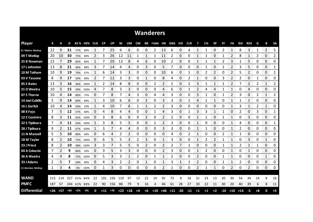| <b>Wanderers</b>    |     |                |       |             |          |     |           |           |             |                |           |                |       |               |       |          |            |      |      |           |          |              |            |              |              |            |                       |
|---------------------|-----|----------------|-------|-------------|----------|-----|-----------|-----------|-------------|----------------|-----------|----------------|-------|---------------|-------|----------|------------|------|------|-----------|----------|--------------|------------|--------------|--------------|------------|-----------------------|
| <b>Player</b>       | К   | н              | D     |             | KE% HE%  | CLG | <b>CP</b> | <b>UP</b> | М           | UM             | <b>CM</b> | IM             | F50M  | ΗR            | GBG   | но       | <b>CLR</b> | т    | 1%   | <b>SP</b> | FF       | FA           | <b>150</b> | <b>R50</b>   | G            | B          | <b>SA</b>             |
| 01 Marlon Motlop    | 22  | 9              | 31    | 77%         | 89%      | 1   |           | 25        | 6           | 6              | 0         | 0              | 2     | 13            | 6     | 0        | 4          |      | 1    | 0         | 2        | 1            | 8          | 3            | 1            | 2          | 5                     |
| 09 T Motlop         | 20  | 10             | 30    | 75%         | 80%      | 2   | 3         | 26        | 12          | 11             | 1         | 1              | 1     | 11            | 2     | 0        | 0          |      |      | 0         | 1        | 2            | 8          | 1            | 2            | 0          | 2                     |
| 25 B Newman         | 22  | 7              | 29    | 82%         | 86%      | 1   |           | 20        | 12          | 8              | 4         | 6              | 0     | 10            | 2     | 0        | 0          | 1    | 1    | 1         | 2        | 3            |            | 5            | 0            | 0          | 0                     |
| 17 L Johnston       | 13  | 8              | 21    | 46%         | 88%      | 3   | 7         | 14        | 4           | 4              | 0         | 3              | 0     | 5             | 7     | $\Omega$ | 0          | 0    | 1    | 0         | 1        | 2            | 3          | 5            | 0            | 0          | 1                     |
| 10 M Totham         | 10  | 9              | 19    | 70%         | 67%      | 1   | 6         | 14        | 3           | 3              | 0         | 0              | 0     | 10            | 6     | 0        | 1          | 0    | 2    | 2         | $\Omega$ | 2            | 5          | 2            | 0            | 0          | 2                     |
| 03 V Tassone        | 8   | 9              | 17    | 50%         | 89%      | 2   | 7         | 12        | 3           | 3              | 0         | 1              | 0     | 8             | 4     | 0        | 2          | 1    | 0    | 0         | 3        | 2            | 2          | 0            | 1            | 0          | 0                     |
| 05 S Bates          | 13  | 3              | 16    | 46%         | 100%     | 1   | 2         | 14        | 8           | 8              | 0         | 0              | 2     | 2             | 1     | 0        | 2          | 3    |      | 1         |          | 2            |            | 2            | 2            | 1          | 2                     |
| 21 D Weetra         | 10  | 5              | 15    | 30%         | 100%     | 4   | 7         | 8         | 3           | 3              | 0         | 0              | 0     | 4             | 6     | 0        | 1          | 2    | 4    | 4         | 1        | 1            | 0          | 4            | $\mathbf{0}$ | 0          | 0                     |
| 07 S Thorne         | -10 | 4              | 14    | 80%         | 75%      | 0   |           | 8         | 7           | 4              | 3         | 0              | 4     | 4             | 3     | 0        | 0          | 3    | 1    | 0         | 1        | 2            | 3          | 0            | 2            | 1          | 2                     |
| 14 Joel Cubillo     | 5   | 9              | 14    | 80%         | 89%      | 1   | 3         | 10        | 6           | 6              | 0         | $\overline{2}$ | 0     | 3             | 3     | 0        | 1          | 4    |      | 1         | 0        | $\mathbf{1}$ |            | $\mathbf{1}$ | 0            | 0          | 0                     |
| 16 L Garlick        | 10  | 4              | 14    | 50%         | 50%      |     | 4         | 10        | 7           | 6              | 1         |                | 2     | 2             | 3     | 0        | 0          | 0    | 0    | 0         | 0        | 1            | 3          | 1            | 2            | 1          | 0                     |
| 08 K Fejo           | 7   | 5              | 12    | 57%         | 80%      | 0   | 4         | 8         | 4           | 4              | 0         | 0              | 1     | 4             | 3     | 0        |            | 3    | 3    | 1         | 1        | 0            | 2          | 0            | 3            | 0          | 1                     |
| 12 Z Casimiro       | 8   | 3              | 11    | 63%         | 100%     | 0   | 3         | 8         | 6           | 6              | 0         | $\overline{2}$ | 0     | 2             | 2     | 0        | 0          | 1    | 1    | 0         | 1        | 1            | 0          | 3            | 0            | 0          | 0                     |
| 22 S Tipiloura      | 7   | 4              | 11    |             | 43% 100% |     | 3         | 8         | 5           | 5              | 0         | 0              | 1     | $\mathcal{P}$ | 3     | 0        | 0          |      | 0    | 0         | 0        | 1            | 4          | 0            | 0            | 0          | 1                     |
| 28 J Tipiloura      | 9   | 2              | 11    | 67%         | 100%     |     | 3         |           | 4           | 4              | 0         | 0              | 0     | 3             | 3     | 0        | 0          |      | 1    | 0         | 0        | $\mathbf{1}$ | 2          | 0            | 0            | 0          | 0                     |
| 11 N Mansell        | 5   | 5              | 10    | 80%         | 60%      | 0   | 6         | 4         | 2           | 2              | 0         | 0              | 0     | 0             | 4     | 0        | 2          |      | 0    | 0         | 2        | $\mathbf{1}$ |            | 0            | 0            | 0          | 0                     |
| 18 M Taylor         | 8   | $\overline{2}$ | 10    | 75%         | 100%     | 0   | 6         | 5         | 5           | 3              | 2         | 3              | 0     | 1             | 3     | 0        | 0          | 1    | 2    | 2         | 1        | 1            | 0          | 3            | 0            | 1          | 0                     |
| 23 J Priest         | 8   | $\mathbf{2}$   | 10    |             | 38% 100% | 3   | 3         |           | 5           | 5              | 0         | 2              | 0     | 2             | 2     |          |            | 0    | 0    | 0         |          | 1            | 2          | 1            | 1            | 0          | 0                     |
| 04 A Coluccio       | 7   | 2              | 9     | 86%         | 50%      | 0   | 3         | 5         | 3           | 3              | 0         | 0              | 0     | 2             | 3     | 0        | 0          | 1    | 2    | 0         | 0        | 1            | 0          | $\mathbf{1}$ | 0            | 0          | 0                     |
| 36 A Weetra         | 4   | 4<br>ana a     | 8     |             | 75% 100% | 0   | 5         | 3         | 3           | 1              | 2         | 0              | 1     | 1             | 2     | 0        | 0          | 2    | 0    | 0         | 1        | 1            | 0          | 0            | 0            | 1<br>on om | 0<br><b>CONTRACTO</b> |
| 33 J Adams          | 2   | 5              | 7     | 50%         | 80%      | 0   | 4         | 3         | 2           | $\overline{2}$ | 0         | 1              | 0     | 1             | 3     | 1        | 1          | 2    | 0    | 0         | 1        | 1            | 2          | 0            | 0            | 0          | 0<br>ana ana          |
| 13 Brenton Motlop   | 1   | 3              | 4     | 0%          | 100%     | 0   | 1         | 3         | 0           | 0              | 0         | 0              | 0     | 2             | 1     | 0        | 0          | 2    | 1    | 1         | 0        | 2            | 0          | 2            | 0            | 0          | 0                     |
|                     |     |                |       |             |          |     |           |           |             |                |           |                |       |               |       |          |            |      |      |           |          |              |            |              |              |            |                       |
| <b>WAND</b>         | 213 | 114            | 327   |             | 65% 84%  | 22  | 101       | 226       | 110         | 97             | 13        | 22             | 14    | 92            | 72    | 8        | 16         | 31   | 23   | 13        | 20       | 30           | 54         | 34           | 14           | 8          | 16                    |
| <b>PMFC</b>         | 187 | 57             |       | 244 63% 88% |          | 22  | 90        | 156       | 88          | 79             | 9         | 16             | 4     | 46            | 61    | 28       | 27         | 30   | 22   | 11        | 30       | 20           | 40         | 39           | 6            | 8          | 11                    |
| <b>Differential</b> |     | $+26$ $+57$    | $+83$ | $+2%$       | -4%      | 0   | $+11$     | $+70$     | $+22$ $+18$ |                | $+4$      | $+6$           | $+10$ | $+46$         | $+11$ | $-20$    | $-11$      | $+1$ | $+1$ | $+2$      | $-10$    | $+10$        | $+14$      | -5           | $+8$         | 0          | $+5$                  |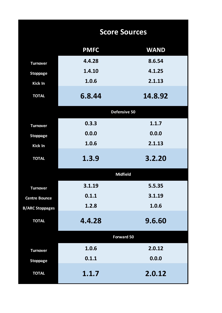|                        | <b>Score Sources</b> |                 |  |  |  |  |  |  |  |  |  |
|------------------------|----------------------|-----------------|--|--|--|--|--|--|--|--|--|
|                        | <b>PMFC</b>          | <b>WAND</b>     |  |  |  |  |  |  |  |  |  |
| <b>Turnover</b>        | 4.4.28               | 8.6.54          |  |  |  |  |  |  |  |  |  |
| <b>Stoppage</b>        | 1.4.10               | 4.1.25          |  |  |  |  |  |  |  |  |  |
| <b>Kick In</b>         | 1.0.6                | 2.1.13          |  |  |  |  |  |  |  |  |  |
| <b>TOTAL</b>           | 6.8.44               | 14.8.92         |  |  |  |  |  |  |  |  |  |
|                        |                      | Defensive 50    |  |  |  |  |  |  |  |  |  |
| <b>Turnover</b>        | 0.3.3                | 1.1.7           |  |  |  |  |  |  |  |  |  |
| <b>Stoppage</b>        | 0.0.0                | 0.0.0           |  |  |  |  |  |  |  |  |  |
| Kick In                | 1.0.6                | 2.1.13          |  |  |  |  |  |  |  |  |  |
| <b>TOTAL</b>           | 1.3.9                | 3.2.20          |  |  |  |  |  |  |  |  |  |
|                        |                      | <b>Midfield</b> |  |  |  |  |  |  |  |  |  |
| <b>Turnover</b>        | 3.1.19               | 5.5.35          |  |  |  |  |  |  |  |  |  |
| <b>Centre Bounce</b>   | 0.1.1                | 3.1.19          |  |  |  |  |  |  |  |  |  |
| <b>B/ARC Stoppages</b> | 1.2.8                | 1.0.6           |  |  |  |  |  |  |  |  |  |
| <b>TOTAL</b>           | 4.4.28               | 9.6.60          |  |  |  |  |  |  |  |  |  |
|                        |                      | Forward 50      |  |  |  |  |  |  |  |  |  |
| <b>Turnover</b>        | 1.0.6                | 2.0.12          |  |  |  |  |  |  |  |  |  |
| <b>Stoppage</b>        | 0.1.1                | 0.0.0           |  |  |  |  |  |  |  |  |  |
| <b>TOTAL</b>           | 1.1.7                | 2.0.12          |  |  |  |  |  |  |  |  |  |